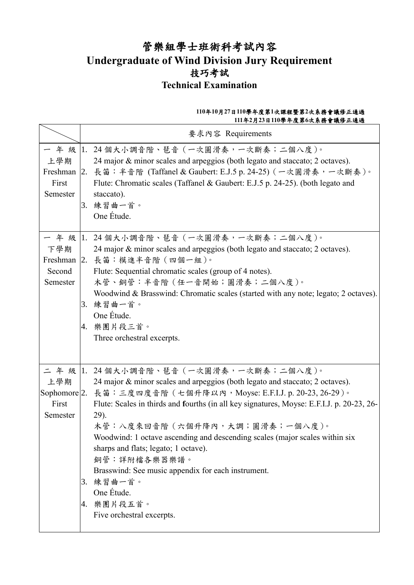# 管樂組學士班術科考試內容 **Undergraduate of Wind Division Jury Requirement** 技巧考試 **Technical Examination**

### **110**年**10**月**27**日**110**學年度第**1**次課程暨第**2**次系務會議修正通過 **111**年**2**月**23**日**110**學年度第**6**次系務會議修正通過

|                           | 要求內容 Requirements                                                                                                                                                                                                                                                                                                                                                                                                                                                                                                                                                                                   |
|---------------------------|-----------------------------------------------------------------------------------------------------------------------------------------------------------------------------------------------------------------------------------------------------------------------------------------------------------------------------------------------------------------------------------------------------------------------------------------------------------------------------------------------------------------------------------------------------------------------------------------------------|
| 上學期<br>First<br>Semester  | 一 年 級  1. 24 個大小調音階、琶音(一次圓滑奏,一次斷奏;二個八度)。<br>24 major & minor scales and arpeggios (both legato and staccato; 2 octaves).<br>Freshman 2. 長笛: 半音階 (Taffanel & Gaubert: E.J.5 p. 24-25) (一次圓滑奏, 一次斷奏)。<br>Flute: Chromatic scales (Taffanel & Gaubert: E.J.5 p. 24-25). (both legato and<br>staccato).<br>3. 練習曲一首。<br>One Étude.                                                                                                                                                                                                                                                                      |
| 下學期<br>Second<br>Semester | 一 年 級  1. 24 個大小調音階、琶音 (一次圓滑奏,一次斷奏;二個八度)。<br>24 major & minor scales and arpeggios (both legato and staccato; 2 octaves).<br>Freshman 2. 長笛:模進半音階 (四個一組)。<br>Flute: Sequential chromatic scales (group of 4 notes).<br>木管、銅管:半音階 (任一音開始;圓滑奏;二個八度)。<br>Woodwind & Brasswind: Chromatic scales (started with any note; legato; 2 octaves).<br>3. 練習曲一首。<br>One Étude.<br>4. 樂團片段三首。<br>Three orchestral excerpts.                                                                                                                                                                                     |
| 上學期<br>First<br>Semester  | 二年級 1. 24個大小調音階、琶音(一次圓滑奏,一次斷奏;二個八度)。<br>24 major & minor scales and arpeggios (both legato and staccato; 2 octaves).<br>Sophomore 2. 長笛:三度四度音階 (七個升降以內, Moyse: E.F.I.J. p. 20-23, 26-29)。<br>Flute: Scales in thirds and fourths (in all key signatures, Moyse: E.F.I.J. p. 20-23, 26-<br>29).<br>木管:八度來回音階 (六個升降內,大調;圓滑奏;一個八度)。<br>Woodwind: 1 octave ascending and descending scales (major scales within six<br>sharps and flats; legato; 1 octave).<br>銅管:詳附檔各樂器樂譜。<br>Brasswind: See music appendix for each instrument.<br>3. 練習曲一首。<br>One Étude.<br>4. 樂團片段五首。<br>Five orchestral excerpts. |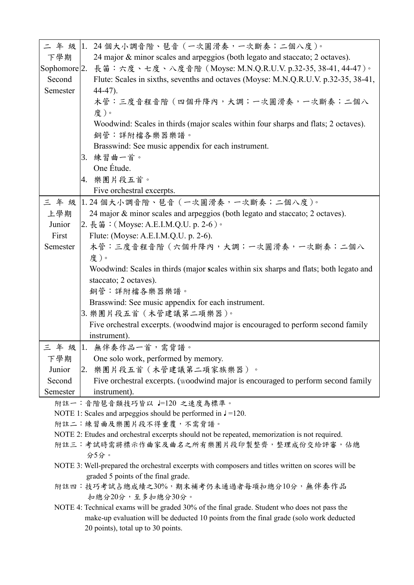|                                                                                              | 二 年 級  1. 24個大小調音階、琶音(一次圓滑奏,一次斷奏;二個八度)。                                                           |  |  |  |
|----------------------------------------------------------------------------------------------|---------------------------------------------------------------------------------------------------|--|--|--|
| 下學期                                                                                          | 24 major & minor scales and arpeggios (both legato and staccato; 2 octaves).                      |  |  |  |
|                                                                                              | Sophomore 2. 長笛:六度、七度、八度音階 (Moyse: M.N.Q.R.U.V. p.32-35, 38-41, 44-47)。                           |  |  |  |
| Second                                                                                       | Flute: Scales in sixths, sevenths and octaves (Moyse: M.N.Q.R.U.V. p.32-35, 38-41,                |  |  |  |
| Semester                                                                                     | $44-47$ ).                                                                                        |  |  |  |
|                                                                                              | 木管:三度音程音階 (四個升降內,大調;一次圓滑奏,一次斷奏;二個八                                                                |  |  |  |
|                                                                                              | 度)。                                                                                               |  |  |  |
|                                                                                              | Woodwind: Scales in thirds (major scales within four sharps and flats; 2 octaves).                |  |  |  |
|                                                                                              | 銅管:詳附檔各樂器樂譜。                                                                                      |  |  |  |
|                                                                                              | Brasswind: See music appendix for each instrument.                                                |  |  |  |
|                                                                                              | 3. 練習曲一首。<br>One Étude.                                                                           |  |  |  |
|                                                                                              | 4. 樂團片段五首。                                                                                        |  |  |  |
|                                                                                              | Five orchestral excerpts.                                                                         |  |  |  |
|                                                                                              | 三年級 1.24個大小調音階、琶音 (一次圓滑奏,一次斷奏;二個八度)。                                                              |  |  |  |
| 上學期                                                                                          | 24 major & minor scales and arpeggios (both legato and staccato; 2 octaves).                      |  |  |  |
| Junior                                                                                       | 2. 長笛: (Moyse: A.E.I.M.Q.U. p. 2-6)。                                                              |  |  |  |
| First                                                                                        | Flute: (Moyse: A.E.I.M.Q.U. p. 2-6).                                                              |  |  |  |
| Semester                                                                                     | 木管:三度音程音階 (六個升降內,大調;一次圓滑奏,一次斷奏;二個八                                                                |  |  |  |
|                                                                                              | 度)。                                                                                               |  |  |  |
|                                                                                              | Woodwind: Scales in thirds (major scales within six sharps and flats; both legato and             |  |  |  |
|                                                                                              | staccato; 2 octaves).                                                                             |  |  |  |
|                                                                                              | 銅管:詳附檔各樂器樂譜。                                                                                      |  |  |  |
|                                                                                              | Brasswind: See music appendix for each instrument.                                                |  |  |  |
|                                                                                              | 3. 樂團片段五首 (木管建議第二項樂器)。                                                                            |  |  |  |
|                                                                                              | Five orchestral excerpts. (woodwind major is encouraged to perform second family                  |  |  |  |
|                                                                                              | instrument).                                                                                      |  |  |  |
|                                                                                              | 三年級 1. 無伴奏作品一首,需背譜。                                                                               |  |  |  |
| 下學期                                                                                          | One solo work, performed by memory.                                                               |  |  |  |
| Junior                                                                                       | 2. 樂團片段五首 (木管建議第二項家族樂器)。                                                                          |  |  |  |
| Second                                                                                       | Five orchestral excerpts. (woodwind major is encouraged to perform second family                  |  |  |  |
| Semester                                                                                     | instrument).                                                                                      |  |  |  |
|                                                                                              | 附註一:音階琶音類技巧皆以 ー120 之速度為標準。                                                                        |  |  |  |
|                                                                                              | NOTE 1: Scales and arpeggios should be performed in $J = 120$ .                                   |  |  |  |
|                                                                                              | 附註二:練習曲及樂團片段不得重覆,不需背譜。                                                                            |  |  |  |
| NOTE 2: Etudes and orchestral excerpts should not be repeated, memorization is not required. |                                                                                                   |  |  |  |
|                                                                                              | 附註三:考試時需將標示作曲家及曲名之所有樂團片段印製整齊,整理成份交給評審,佔總<br>分5分。                                                  |  |  |  |
|                                                                                              | NOTE 3: Well-prepared the orchestral excerpts with composers and titles written on scores will be |  |  |  |
|                                                                                              | graded 5 points of the final grade.                                                               |  |  |  |
|                                                                                              | 附註四:技巧考試占總成績之30%,期末補考仍未通過者每項扣總分10分,無伴奏作品<br>扣總分20分,至多扣總分30分。                                      |  |  |  |
|                                                                                              | NOTE 4: Technical exams will be graded 30% of the final grade. Student who does not pass the      |  |  |  |
| make-up evaluation will be deducted 10 points from the final grade (solo work deducted       |                                                                                                   |  |  |  |
|                                                                                              | 20 points), total up to 30 points.                                                                |  |  |  |
|                                                                                              |                                                                                                   |  |  |  |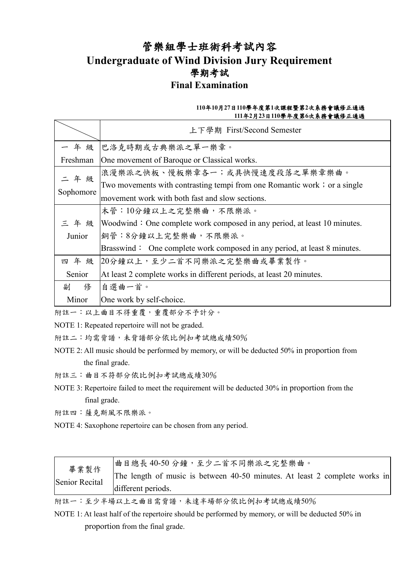## 管樂組學士班術科考試內容 **Undergraduate of Wind Division Jury Requirement** 學期考試 **Final Examination**

### **110**年**10**月**27**日**110**學年度第**1**次課程暨第**2**次系務會議修正通過 **111**年**2**月**23**日**110**學年度第**6**次系務會議修正通過

|           | 上下學期 First/Second Semester                                                               |  |  |  |  |
|-----------|------------------------------------------------------------------------------------------|--|--|--|--|
|           | 一 年 級  巴洛克時期或古典樂派之單一樂章。                                                                  |  |  |  |  |
| Freshman  | One movement of Baroque or Classical works.                                              |  |  |  |  |
| 二年级       | 浪漫樂派之快板、慢板樂章各一;或具快慢速度段落之單樂章樂曲。                                                           |  |  |  |  |
|           | Two movements with contrasting tempi from one Romantic work; or a single                 |  |  |  |  |
| Sophomore | movement work with both fast and slow sections.                                          |  |  |  |  |
|           | 木管:10分鐘以上之完整樂曲,不限樂派。                                                                     |  |  |  |  |
|           | $\equiv$ 4 $\&$ Woodwind: One complete work composed in any period, at least 10 minutes. |  |  |  |  |
| Junior    | 銅管:8分鐘以上完整樂曲,不限樂派。                                                                       |  |  |  |  |
|           | Brasswind: One complete work composed in any period, at least 8 minutes.                 |  |  |  |  |
| 四年级       | 20分鐘以上,至少二首不同樂派之完整樂曲或畢業製作。                                                               |  |  |  |  |
| Senior    | At least 2 complete works in different periods, at least 20 minutes.                     |  |  |  |  |
| 副<br>俢    | 自選曲一首。                                                                                   |  |  |  |  |
| Minor     | One work by self-choice.                                                                 |  |  |  |  |

附註一:以上曲目不得重覆,重覆部分不予計分。

NOTE 1: Repeated repertoire will not be graded.

附註二:均需背譜,未背譜部分依比例扣考試總成績50%

NOTE 2: All music should be performed by memory, or will be deducted 50% in proportion from the final grade.

- 附註三:曲目不符部分依比例扣考試總成績30%
- NOTE 3: Repertoire failed to meet the requirement will be deducted 30% in proportion from the final grade.
- 附註四:薩克斯風不限樂派。
- NOTE 4: Saxophone repertoire can be chosen from any period.

| 畢業製作           | 曲目總長40-50分鐘,至少二首不同樂派之完整樂曲。                                                 |
|----------------|----------------------------------------------------------------------------|
| Senior Recital | The length of music is between 40-50 minutes. At least 2 complete works in |
|                | different periods.                                                         |

附註一:至少半場以上之曲目需背譜,未達半場部分依比例扣考試總成績50%

NOTE 1: At least half of the repertoire should be performed by memory, or will be deducted 50% in proportion from the final grade.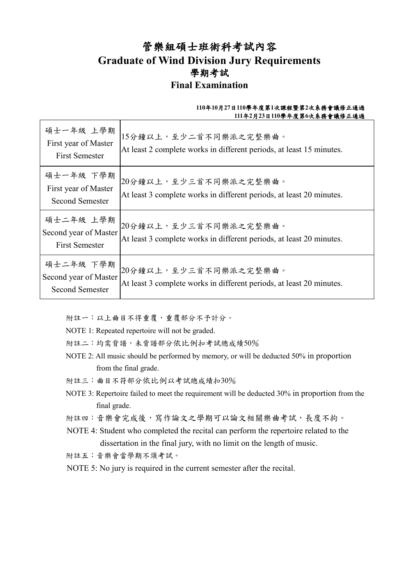### 管樂組碩士班術科考試內容 **Graduate of Wind Division Jury Requirements** 學期考試 **Final Examination**

### **110**年**10**月**27**日**110**學年度第**1**次課程暨第**2**次系務會議修正通過 **111**年**2**月**23**日**110**學年度第**6**次系務會議修正通過

| 碩士一年級 上學期<br>First year of Master<br><b>First Semester</b>   | 15分鐘以上,至少二首不同樂派之完整樂曲。<br>At least 2 complete works in different periods, at least 15 minutes. |
|--------------------------------------------------------------|-----------------------------------------------------------------------------------------------|
| 碩士一年級 下學期<br>First year of Master<br><b>Second Semester</b>  | 20分鐘以上,至少三首不同樂派之完整樂曲。<br>At least 3 complete works in different periods, at least 20 minutes. |
| 碩士二年級 上學期<br>Second year of Master<br><b>First Semester</b>  | 20分鐘以上,至少三首不同樂派之完整樂曲。<br>At least 3 complete works in different periods, at least 20 minutes. |
| 碩士二年級 下學期<br>Second year of Master<br><b>Second Semester</b> | 20分鐘以上,至少三首不同樂派之完整樂曲。<br>At least 3 complete works in different periods, at least 20 minutes. |

附註一:以上曲目不得重覆,重覆部分不予計分。

- NOTE 1: Repeated repertoire will not be graded.
- 附註二:均需背譜,未背譜部分依比例扣考試總成績50%
- NOTE 2: All music should be performed by memory, or will be deducted 50% in proportion from the final grade.
- 附註三:曲目不符部分依比例以考試總成績扣30%
- NOTE 3: Repertoire failed to meet the requirement will be deducted 30% in proportion from the final grade.
- 附註四:音樂會完成後,寫作論文之學期可以論文相關樂曲考試,長度不拘。
- NOTE 4: Student who completed the recital can perform the repertoire related to the dissertation in the final jury, with no limit on the length of music.

附註五:音樂會當學期不須考試。

NOTE 5: No jury is required in the current semester after the recital.